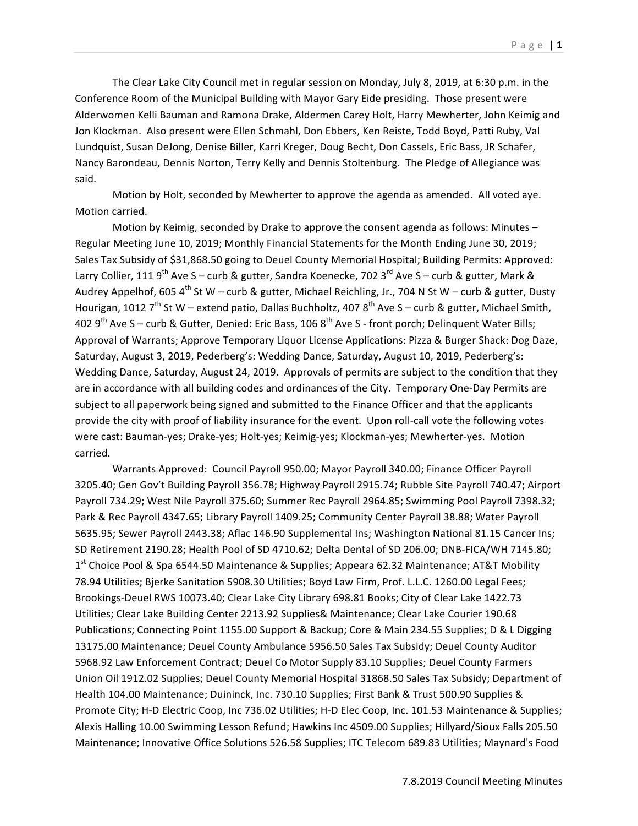The Clear Lake City Council met in regular session on Monday, July 8, 2019, at 6:30 p.m. in the Conference Room of the Municipal Building with Mayor Gary Eide presiding. Those present were Alderwomen Kelli Bauman and Ramona Drake, Aldermen Carey Holt, Harry Mewherter, John Keimig and Jon Klockman. Also present were Ellen Schmahl, Don Ebbers, Ken Reiste, Todd Boyd, Patti Ruby, Val Lundquist, Susan DeJong, Denise Biller, Karri Kreger, Doug Becht, Don Cassels, Eric Bass, JR Schafer, Nancy Barondeau, Dennis Norton, Terry Kelly and Dennis Stoltenburg. The Pledge of Allegiance was said. 

Motion by Holt, seconded by Mewherter to approve the agenda as amended. All voted aye. Motion carried.

Motion by Keimig, seconded by Drake to approve the consent agenda as follows: Minutes  $-$ Regular Meeting June 10, 2019; Monthly Financial Statements for the Month Ending June 30, 2019; Sales Tax Subsidy of \$31,868.50 going to Deuel County Memorial Hospital; Building Permits: Approved: Larry Collier, 111 9<sup>th</sup> Ave S – curb & gutter, Sandra Koenecke, 702 3<sup>rd</sup> Ave S – curb & gutter, Mark & Audrey Appelhof, 605  $4^{th}$  St W – curb & gutter, Michael Reichling, Jr., 704 N St W – curb & gutter, Dusty Hourigan, 1012  $7<sup>th</sup>$  St W – extend patio, Dallas Buchholtz, 407 8<sup>th</sup> Ave S – curb & gutter, Michael Smith, 402  $9^{th}$  Ave S – curb & Gutter, Denied: Eric Bass, 106  $8^{th}$  Ave S - front porch; Delinquent Water Bills; Approval of Warrants; Approve Temporary Liquor License Applications: Pizza & Burger Shack: Dog Daze, Saturday, August 3, 2019, Pederberg's: Wedding Dance, Saturday, August 10, 2019, Pederberg's: Wedding Dance, Saturday, August 24, 2019. Approvals of permits are subject to the condition that they are in accordance with all building codes and ordinances of the City. Temporary One-Day Permits are subject to all paperwork being signed and submitted to the Finance Officer and that the applicants provide the city with proof of liability insurance for the event. Upon roll-call vote the following votes were cast: Bauman-yes; Drake-yes; Holt-yes; Keimig-yes; Klockman-yes; Mewherter-yes. Motion carried.

Warrants Approved: Council Payroll 950.00; Mayor Payroll 340.00; Finance Officer Payroll 3205.40; Gen Gov't Building Payroll 356.78; Highway Payroll 2915.74; Rubble Site Payroll 740.47; Airport Payroll 734.29; West Nile Payroll 375.60; Summer Rec Payroll 2964.85; Swimming Pool Payroll 7398.32; Park & Rec Payroll 4347.65; Library Payroll 1409.25; Community Center Payroll 38.88; Water Payroll 5635.95; Sewer Payroll 2443.38; Aflac 146.90 Supplemental Ins; Washington National 81.15 Cancer Ins; SD Retirement 2190.28; Health Pool of SD 4710.62; Delta Dental of SD 206.00; DNB-FICA/WH 7145.80;  $1<sup>st</sup>$  Choice Pool & Spa 6544.50 Maintenance & Supplies; Appeara 62.32 Maintenance; AT&T Mobility 78.94 Utilities; Bierke Sanitation 5908.30 Utilities; Boyd Law Firm, Prof. L.L.C. 1260.00 Legal Fees; Brookings-Deuel RWS 10073.40; Clear Lake City Library 698.81 Books; City of Clear Lake 1422.73 Utilities; Clear Lake Building Center 2213.92 Supplies& Maintenance; Clear Lake Courier 190.68 Publications; Connecting Point 1155.00 Support & Backup; Core & Main 234.55 Supplies; D & L Digging 13175.00 Maintenance; Deuel County Ambulance 5956.50 Sales Tax Subsidy; Deuel County Auditor 5968.92 Law Enforcement Contract; Deuel Co Motor Supply 83.10 Supplies; Deuel County Farmers Union Oil 1912.02 Supplies; Deuel County Memorial Hospital 31868.50 Sales Tax Subsidy; Department of Health 104.00 Maintenance; Duininck, Inc. 730.10 Supplies; First Bank & Trust 500.90 Supplies & Promote City; H-D Electric Coop, Inc 736.02 Utilities; H-D Elec Coop, Inc. 101.53 Maintenance & Supplies; Alexis Halling 10.00 Swimming Lesson Refund; Hawkins Inc 4509.00 Supplies; Hillyard/Sioux Falls 205.50 Maintenance; Innovative Office Solutions 526.58 Supplies; ITC Telecom 689.83 Utilities; Maynard's Food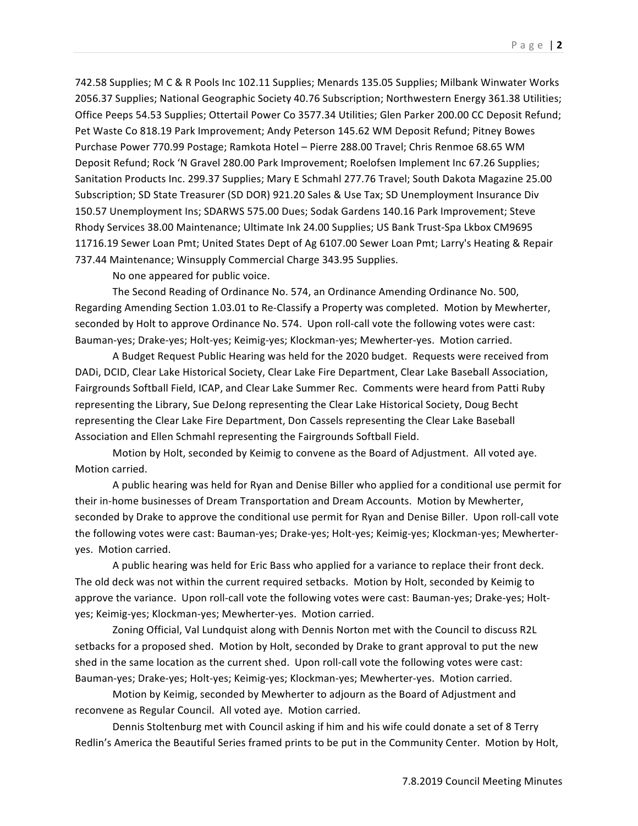742.58 Supplies; M C & R Pools Inc 102.11 Supplies; Menards 135.05 Supplies; Milbank Winwater Works 2056.37 Supplies; National Geographic Society 40.76 Subscription; Northwestern Energy 361.38 Utilities; Office Peeps 54.53 Supplies; Ottertail Power Co 3577.34 Utilities; Glen Parker 200.00 CC Deposit Refund; Pet Waste Co 818.19 Park Improvement; Andy Peterson 145.62 WM Deposit Refund; Pitney Bowes Purchase Power 770.99 Postage; Ramkota Hotel – Pierre 288.00 Travel; Chris Renmoe 68.65 WM Deposit Refund; Rock 'N Gravel 280.00 Park Improvement; Roelofsen Implement Inc 67.26 Supplies; Sanitation Products Inc. 299.37 Supplies; Mary E Schmahl 277.76 Travel; South Dakota Magazine 25.00 Subscription; SD State Treasurer (SD DOR) 921.20 Sales & Use Tax; SD Unemployment Insurance Div 150.57 Unemployment Ins; SDARWS 575.00 Dues; Sodak Gardens 140.16 Park Improvement; Steve Rhody Services 38.00 Maintenance; Ultimate Ink 24.00 Supplies; US Bank Trust-Spa Lkbox CM9695 11716.19 Sewer Loan Pmt; United States Dept of Ag 6107.00 Sewer Loan Pmt; Larry's Heating & Repair 737.44 Maintenance; Winsupply Commercial Charge 343.95 Supplies.

No one appeared for public voice.

The Second Reading of Ordinance No. 574, an Ordinance Amending Ordinance No. 500, Regarding Amending Section 1.03.01 to Re-Classify a Property was completed. Motion by Mewherter, seconded by Holt to approve Ordinance No. 574. Upon roll-call vote the following votes were cast: Bauman-yes; Drake-yes; Holt-yes; Keimig-yes; Klockman-yes; Mewherter-yes. Motion carried.

A Budget Request Public Hearing was held for the 2020 budget. Requests were received from DADi, DCID, Clear Lake Historical Society, Clear Lake Fire Department, Clear Lake Baseball Association, Fairgrounds Softball Field, ICAP, and Clear Lake Summer Rec. Comments were heard from Patti Ruby representing the Library, Sue DeJong representing the Clear Lake Historical Society, Doug Becht representing the Clear Lake Fire Department, Don Cassels representing the Clear Lake Baseball Association and Ellen Schmahl representing the Fairgrounds Softball Field.

Motion by Holt, seconded by Keimig to convene as the Board of Adjustment. All voted aye. Motion carried.

A public hearing was held for Ryan and Denise Biller who applied for a conditional use permit for their in-home businesses of Dream Transportation and Dream Accounts. Motion by Mewherter, seconded by Drake to approve the conditional use permit for Ryan and Denise Biller. Upon roll-call vote the following votes were cast: Bauman-yes; Drake-yes; Holt-yes; Keimig-yes; Klockman-yes; Mewherteryes. Motion carried.

A public hearing was held for Eric Bass who applied for a variance to replace their front deck. The old deck was not within the current required setbacks. Motion by Holt, seconded by Keimig to approve the variance. Upon roll-call vote the following votes were cast: Bauman-yes; Drake-yes; Holtyes; Keimig-yes; Klockman-yes; Mewherter-yes. Motion carried.

Zoning Official, Val Lundquist along with Dennis Norton met with the Council to discuss R2L setbacks for a proposed shed. Motion by Holt, seconded by Drake to grant approval to put the new shed in the same location as the current shed. Upon roll-call vote the following votes were cast: Bauman-yes; Drake-yes; Holt-yes; Keimig-yes; Klockman-yes; Mewherter-yes. Motion carried.

Motion by Keimig, seconded by Mewherter to adjourn as the Board of Adjustment and reconvene as Regular Council. All voted aye. Motion carried.

Dennis Stoltenburg met with Council asking if him and his wife could donate a set of 8 Terry Redlin's America the Beautiful Series framed prints to be put in the Community Center. Motion by Holt,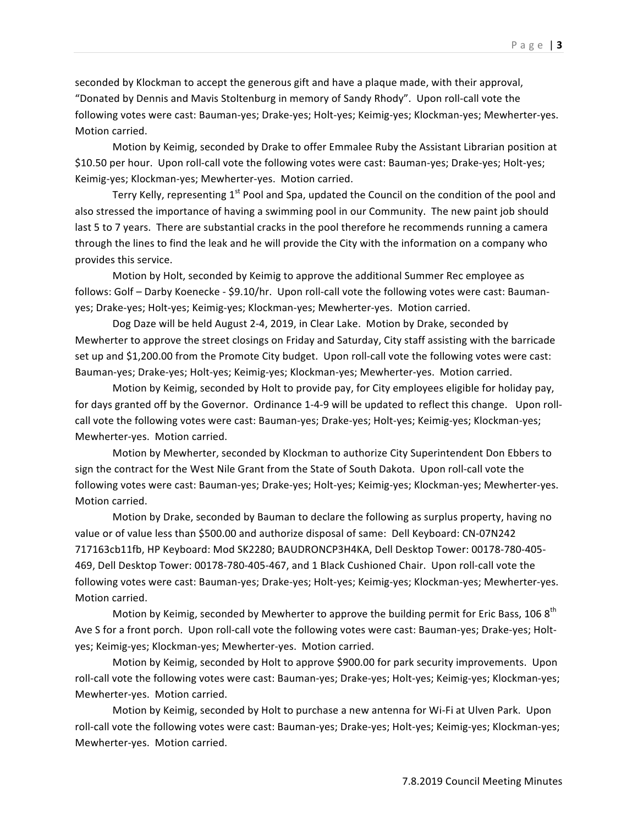seconded by Klockman to accept the generous gift and have a plaque made, with their approval, "Donated by Dennis and Mavis Stoltenburg in memory of Sandy Rhody". Upon roll-call vote the following votes were cast: Bauman-yes; Drake-yes; Holt-yes; Keimig-yes; Klockman-yes; Mewherter-yes. Motion carried.

Motion by Keimig, seconded by Drake to offer Emmalee Ruby the Assistant Librarian position at \$10.50 per hour. Upon roll-call vote the following votes were cast: Bauman-yes; Drake-yes; Holt-yes; Keimig-yes; Klockman-yes; Mewherter-yes. Motion carried.

Terry Kelly, representing  $1<sup>st</sup>$  Pool and Spa, updated the Council on the condition of the pool and also stressed the importance of having a swimming pool in our Community. The new paint job should last 5 to 7 years. There are substantial cracks in the pool therefore he recommends running a camera through the lines to find the leak and he will provide the City with the information on a company who provides this service.

Motion by Holt, seconded by Keimig to approve the additional Summer Rec employee as follows: Golf – Darby Koenecke - \$9.10/hr. Upon roll-call vote the following votes were cast: Baumanyes; Drake-yes; Holt-yes; Keimig-yes; Klockman-yes; Mewherter-yes. Motion carried.

Dog Daze will be held August 2-4, 2019, in Clear Lake. Motion by Drake, seconded by Mewherter to approve the street closings on Friday and Saturday, City staff assisting with the barricade set up and \$1,200.00 from the Promote City budget. Upon roll-call vote the following votes were cast: Bauman-yes; Drake-yes; Holt-yes; Keimig-yes; Klockman-yes; Mewherter-yes. Motion carried.

Motion by Keimig, seconded by Holt to provide pay, for City employees eligible for holiday pay, for days granted off by the Governor. Ordinance 1-4-9 will be updated to reflect this change. Upon rollcall vote the following votes were cast: Bauman-yes; Drake-yes; Holt-yes; Keimig-yes; Klockman-yes; Mewherter-yes. Motion carried.

Motion by Mewherter, seconded by Klockman to authorize City Superintendent Don Ebbers to sign the contract for the West Nile Grant from the State of South Dakota. Upon roll-call vote the following votes were cast: Bauman-yes; Drake-yes; Holt-yes; Keimig-yes; Klockman-yes; Mewherter-yes. Motion carried.

Motion by Drake, seconded by Bauman to declare the following as surplus property, having no value or of value less than \$500.00 and authorize disposal of same: Dell Keyboard: CN-07N242 717163cb11fb, HP Keyboard: Mod SK2280; BAUDRONCP3H4KA, Dell Desktop Tower: 00178-780-405-469, Dell Desktop Tower: 00178-780-405-467, and 1 Black Cushioned Chair. Upon roll-call vote the following votes were cast: Bauman-yes; Drake-yes; Holt-yes; Keimig-yes; Klockman-yes; Mewherter-yes. Motion carried.

Motion by Keimig, seconded by Mewherter to approve the building permit for Eric Bass, 106  $8<sup>th</sup>$ Ave S for a front porch. Upon roll-call vote the following votes were cast: Bauman-yes; Drake-yes; Holtyes; Keimig-yes; Klockman-yes; Mewherter-yes. Motion carried.

Motion by Keimig, seconded by Holt to approve \$900.00 for park security improvements. Upon roll-call vote the following votes were cast: Bauman-yes; Drake-yes; Holt-yes; Keimig-yes; Klockman-yes; Mewherter-yes. Motion carried.

Motion by Keimig, seconded by Holt to purchase a new antenna for Wi-Fi at Ulven Park. Upon roll-call vote the following votes were cast: Bauman-yes; Drake-yes; Holt-yes; Keimig-yes; Klockman-yes; Mewherter-yes. Motion carried.